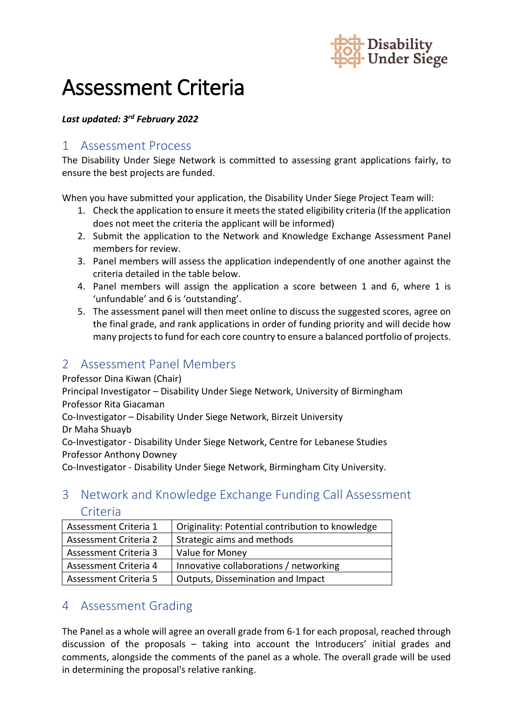

# Assessment Criteria

#### *Last updated: 3rd February 2022*

#### 1 Assessment Process

The Disability Under Siege Network is committed to assessing grant applications fairly, to ensure the best projects are funded.

When you have submitted your application, the Disability Under Siege Project Team will:

- 1. Check the application to ensure it meets the stated eligibility criteria (If the application does not meet the criteria the applicant will be informed)
- 2. Submit the application to the Network and Knowledge Exchange Assessment Panel members for review.
- 3. Panel members will assess the application independently of one another against the criteria detailed in the table below.
- 4. Panel members will assign the application a score between 1 and 6, where 1 is 'unfundable' and 6 is 'outstanding'.
- 5. The assessment panel will then meet online to discuss the suggested scores, agree on the final grade, and rank applications in order of funding priority and will decide how many projects to fund for each core country to ensure a balanced portfolio of projects.

## 2 Assessment Panel Members

Professor Dina Kiwan (Chair)

Principal Investigator – Disability Under Siege Network, University of Birmingham Professor Rita Giacaman

Co-Investigator – Disability Under Siege Network, Birzeit University

Dr Maha Shuayb

Co-Investigator - Disability Under Siege Network, Centre for Lebanese Studies Professor Anthony Downey

Co-Investigator - Disability Under Siege Network, Birmingham City University.

## 3 Network and Knowledge Exchange Funding Call Assessment Criteria

| Assessment Criteria 1 | Originality: Potential contribution to knowledge |
|-----------------------|--------------------------------------------------|
| Assessment Criteria 2 | Strategic aims and methods                       |
| Assessment Criteria 3 | Value for Money                                  |
| Assessment Criteria 4 | Innovative collaborations / networking           |
| Assessment Criteria 5 | Outputs, Dissemination and Impact                |

### 4 Assessment Grading

The Panel as a whole will agree an overall grade from 6-1 for each proposal, reached through discussion of the proposals – taking into account the Introducers' initial grades and comments, alongside the comments of the panel as a whole. The overall grade will be used in determining the proposal's relative ranking.